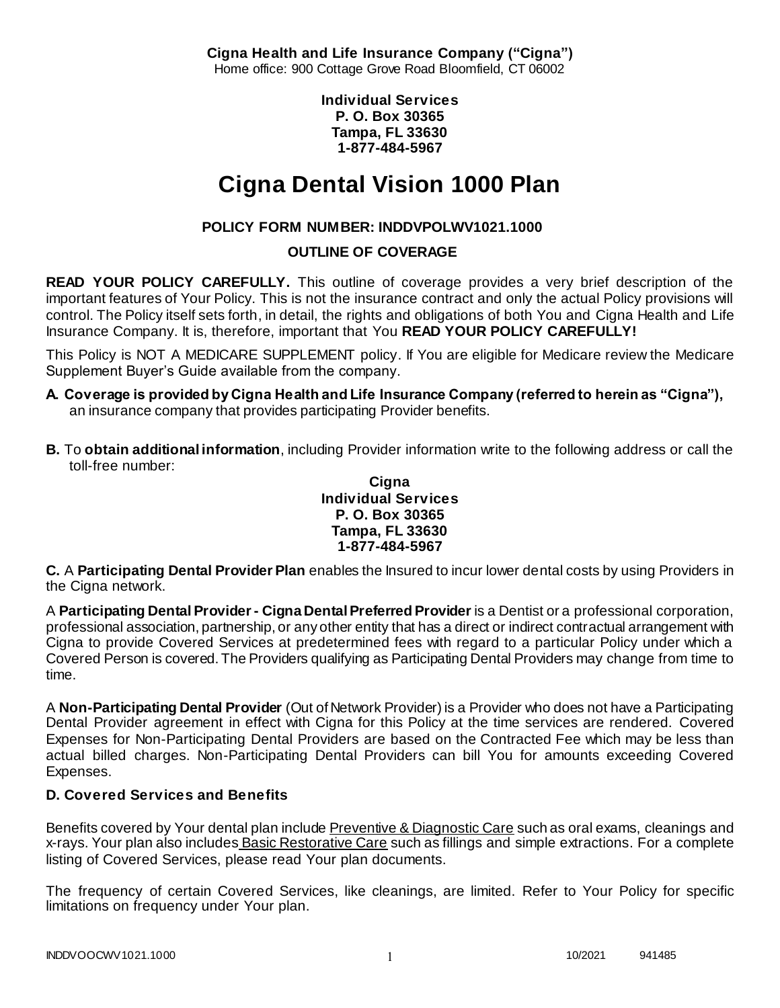**Cigna Health and Life Insurance Company ("Cigna")** Home office: 900 Cottage Grove Road Bloomfield, CT 06002

> **Individual Services P. O. Box 30365 Tampa, FL 33630 1-877-484-5967**

# **Cigna Dental Vision 1000 Plan**

# **POLICY FORM NUMBER: INDDVPOLWV1021.1000**

# **OUTLINE OF COVERAGE**

**READ YOUR POLICY CAREFULLY.** This outline of coverage provides a very brief description of the important features of Your Policy. This is not the insurance contract and only the actual Policy provisions will control. The Policy itself sets forth, in detail, the rights and obligations of both You and Cigna Health and Life Insurance Company. It is, therefore, important that You **READ YOUR POLICY CAREFULLY!** 

This Policy is NOT A MEDICARE SUPPLEMENT policy. If You are eligible for Medicare review the Medicare Supplement Buyer's Guide available from the company.

- **A. Coverage is provided by Cigna Health and Life Insurance Company (referred to herein as "Cigna"),**  an insurance company that provides participating Provider benefits.
- **B.** To **obtain additional information**, including Provider information write to the following address or call the toll-free number:

### **Cigna Individual Services P. O. Box 30365 Tampa, FL 33630 1-877-484-5967**

**C.** A **Participating Dental Provider Plan** enables the Insured to incur lower dental costs by using Providers in the Cigna network.

A **Participating Dental Provider - Cigna Dental Preferred Provider** is a Dentist or a professional corporation, professional association, partnership, or any other entity that has a direct or indirect contractual arrangement with Cigna to provide Covered Services at predetermined fees with regard to a particular Policy under which a Covered Person is covered. The Providers qualifying as Participating Dental Providers may change from time to time.

A **Non-Participating Dental Provider** (Out of Network Provider) is a Provider who does not have a Participating Dental Provider agreement in effect with Cigna for this Policy at the time services are rendered. Covered Expenses for Non-Participating Dental Providers are based on the Contracted Fee which may be less than actual billed charges. Non-Participating Dental Providers can bill You for amounts exceeding Covered Expenses.

# **D. Covered Services and Benefits**

Benefits covered by Your dental plan include Preventive & Diagnostic Care such as oral exams, cleanings and x-rays. Your plan also includes Basic Restorative Care such as fillings and simple extractions. For a complete listing of Covered Services, please read Your plan documents.

The frequency of certain Covered Services, like cleanings, are limited. Refer to Your Policy for specific limitations on frequency under Your plan.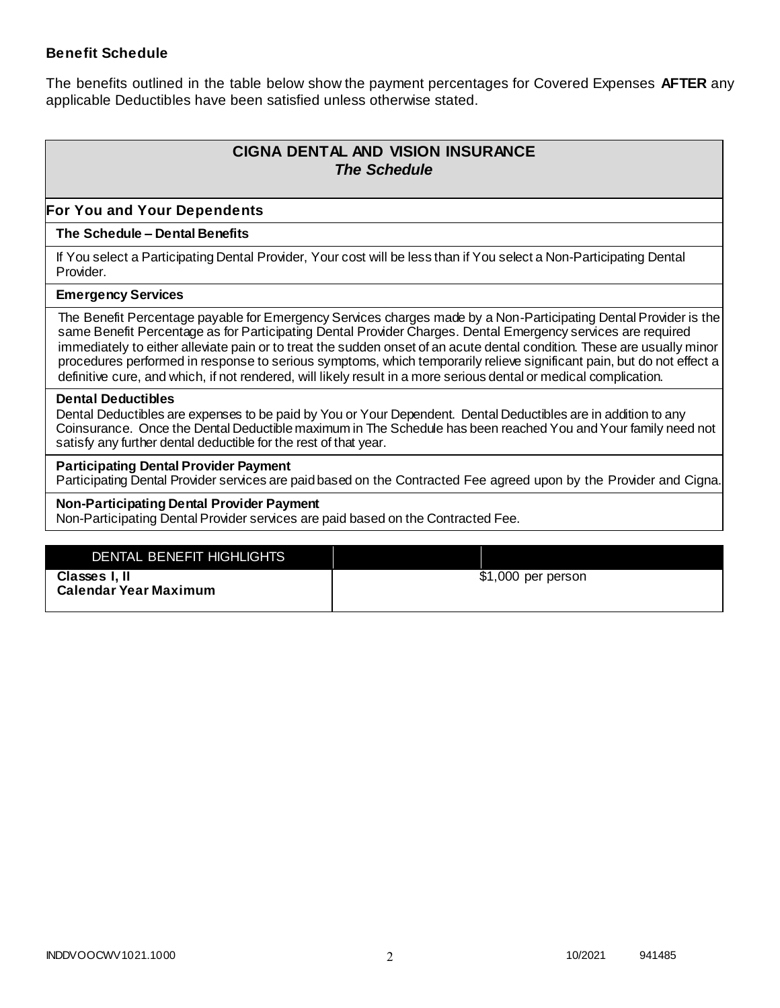### **Benefit Schedule**

The benefits outlined in the table below show the payment percentages for Covered Expenses **AFTER** any applicable Deductibles have been satisfied unless otherwise stated.

# **CIGNA DENTAL AND VISION INSURANCE** *The Schedule*

### **For You and Your Dependents**

#### **The Schedule – Dental Benefits**

If You select a Participating Dental Provider, Your cost will be less than if You select a Non-Participating Dental Provider.

#### **Emergency Services**

The Benefit Percentage payable for Emergency Services charges made by a Non-Participating Dental Provider is the same Benefit Percentage as for Participating Dental Provider Charges. Dental Emergency services are required immediately to either alleviate pain or to treat the sudden onset of an acute dental condition. These are usually minor procedures performed in response to serious symptoms, which temporarily relieve significant pain, but do not effect a definitive cure, and which, if not rendered, will likely result in a more serious dental or medical complication.

#### **Dental Deductibles**

Dental Deductibles are expenses to be paid by You or Your Dependent. Dental Deductibles are in addition to any Coinsurance. Once the Dental Deductible maximum in The Schedule has been reached You and Your family need not satisfy any further dental deductible for the rest of that year.

#### **Participating Dental Provider Payment**

Participating Dental Provider services are paid based on the Contracted Fee agreed upon by the Provider and Cigna.

#### **Non-Participating Dental Provider Payment**

Non-Participating Dental Provider services are paid based on the Contracted Fee.

| $$1,000$ per person |
|---------------------|
|                     |
|                     |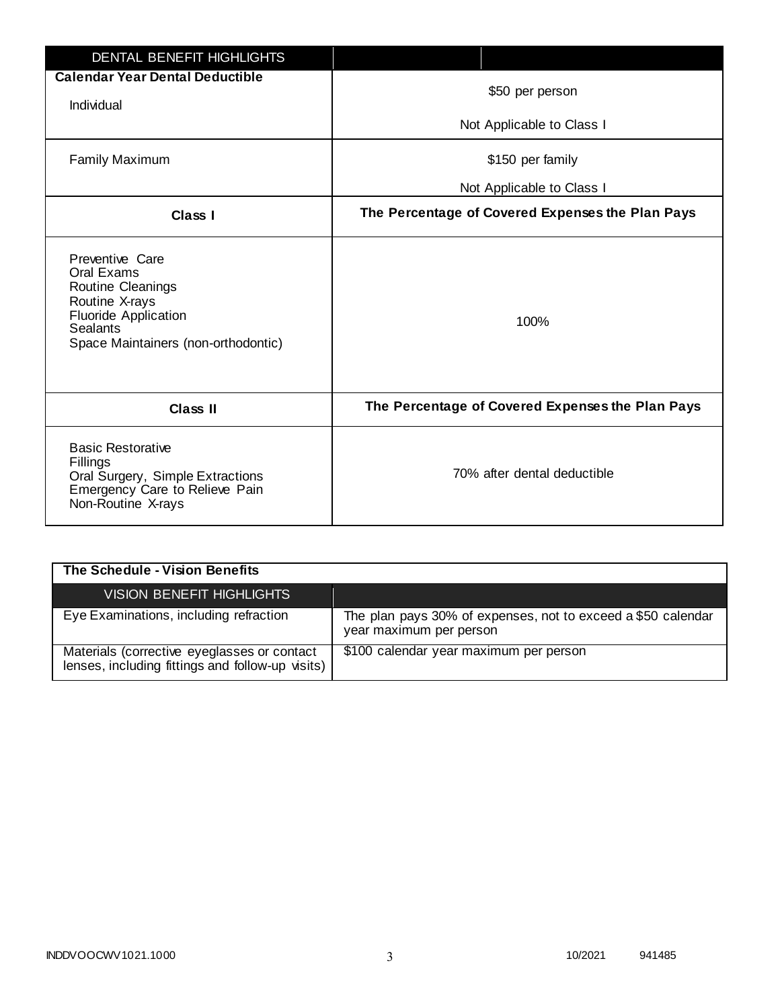| DENTAL BENEFIT HIGHLIGHTS                                                                                                                                     |                                                  |
|---------------------------------------------------------------------------------------------------------------------------------------------------------------|--------------------------------------------------|
| <b>Calendar Year Dental Deductible</b>                                                                                                                        | \$50 per person                                  |
| Individual                                                                                                                                                    |                                                  |
|                                                                                                                                                               | Not Applicable to Class I                        |
| <b>Family Maximum</b>                                                                                                                                         | \$150 per family                                 |
|                                                                                                                                                               | Not Applicable to Class I                        |
| <b>Class I</b>                                                                                                                                                | The Percentage of Covered Expenses the Plan Pays |
| Preventive Care<br>Oral Exams<br>Routine Cleanings<br>Routine X-rays<br><b>Fluoride Application</b><br><b>Sealants</b><br>Space Maintainers (non-orthodontic) | 100%                                             |
| <b>Class II</b>                                                                                                                                               | The Percentage of Covered Expenses the Plan Pays |
| <b>Basic Restorative</b><br>Fillings<br>Oral Surgery, Simple Extractions<br>Emergency Care to Relieve Pain<br>Non-Routine X-rays                              | 70% after dental deductible                      |

| The Schedule - Vision Benefits                                                                  |                                                                                         |
|-------------------------------------------------------------------------------------------------|-----------------------------------------------------------------------------------------|
| <b>VISION BENEFIT HIGHLIGHTS</b>                                                                |                                                                                         |
| Eye Examinations, including refraction                                                          | The plan pays 30% of expenses, not to exceed a \$50 calendar<br>year maximum per person |
| Materials (corrective eyeglasses or contact<br>lenses, including fittings and follow-up visits) | \$100 calendar year maximum per person                                                  |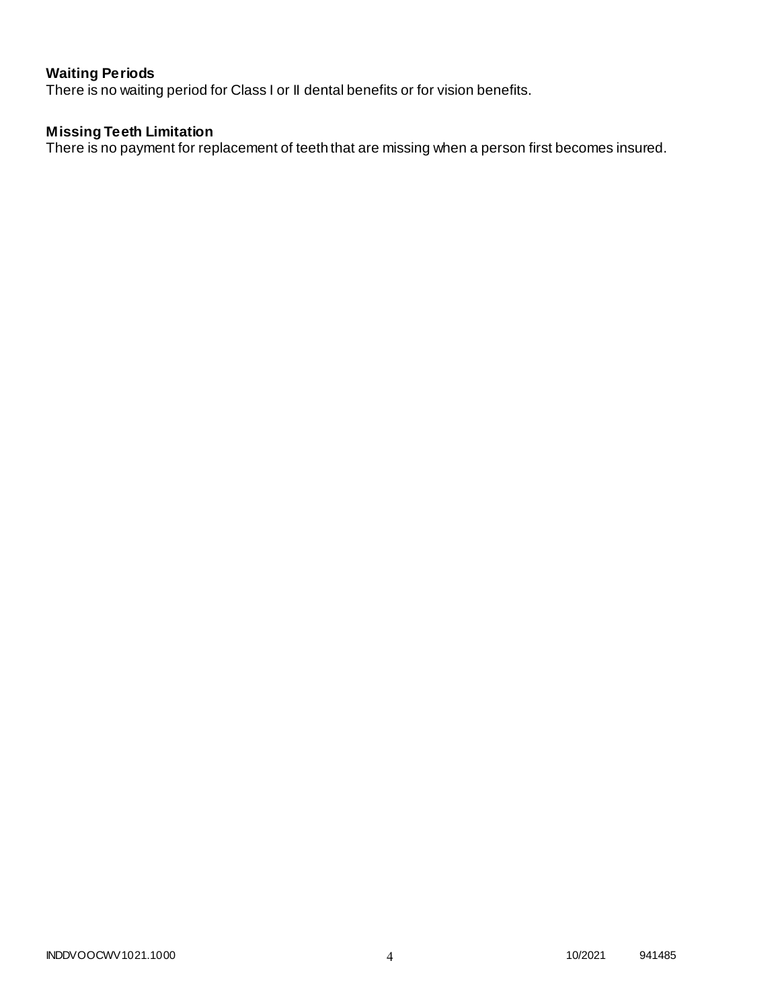# **Waiting Periods**

There is no waiting period for Class I or II dental benefits or for vision benefits.

# **Missing Teeth Limitation**

There is no payment for replacement of teeth that are missing when a person first becomes insured.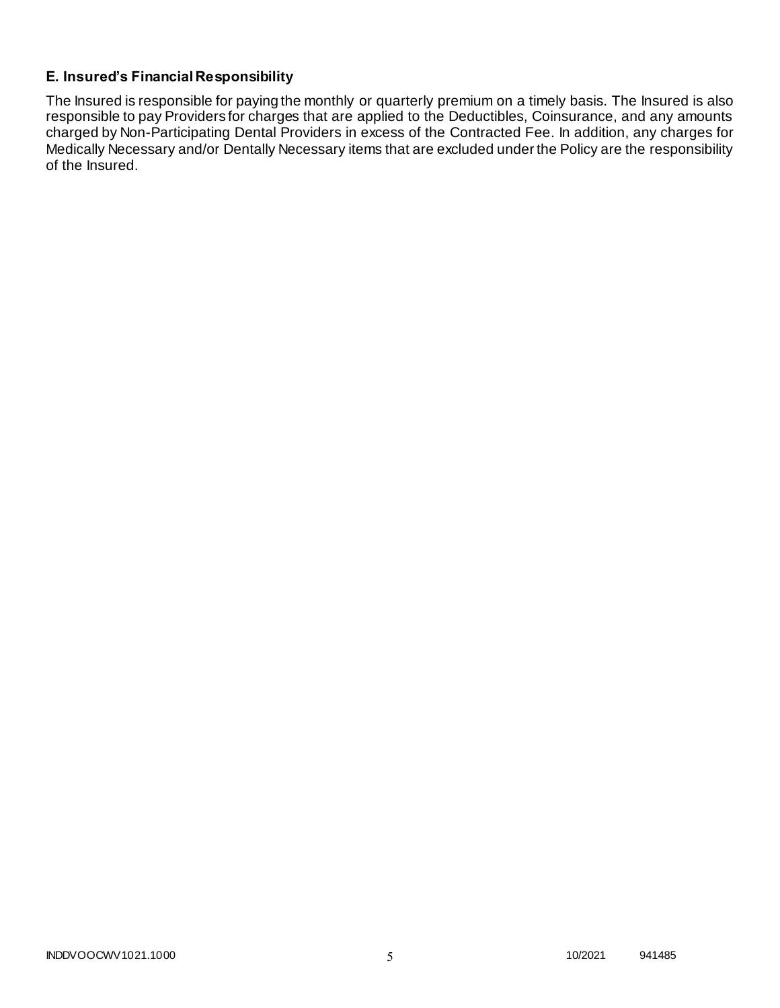# **E. Insured's Financial Responsibility**

The Insured is responsible for paying the monthly or quarterly premium on a timely basis. The Insured is also responsible to pay Providers for charges that are applied to the Deductibles, Coinsurance, and any amounts charged by Non-Participating Dental Providers in excess of the Contracted Fee. In addition, any charges for Medically Necessary and/or Dentally Necessary items that are excluded under the Policy are the responsibility of the Insured.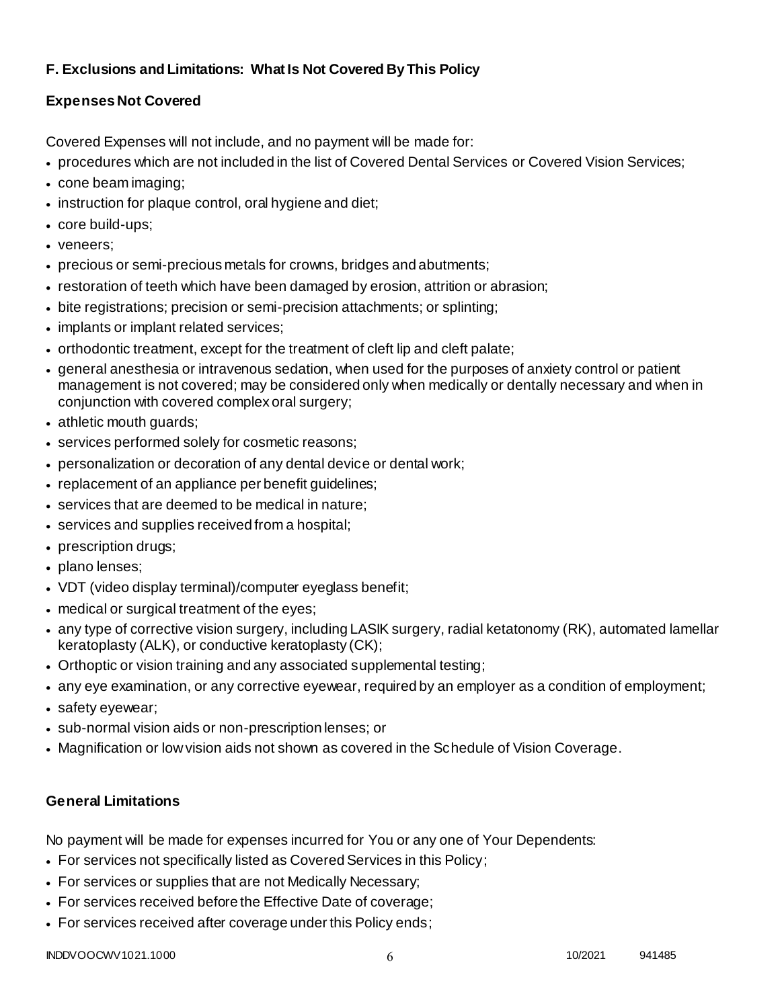# **F. Exclusions and Limitations: What Is Not Covered By This Policy**

# **Expenses Not Covered**

Covered Expenses will not include, and no payment will be made for:

- procedures which are not included in the list of Covered Dental Services or Covered Vision Services;
- cone beam imaging;
- instruction for plaque control, oral hygiene and diet;
- core build-ups;
- veneers;
- precious or semi-precious metals for crowns, bridges and abutments;
- restoration of teeth which have been damaged by erosion, attrition or abrasion;
- bite registrations; precision or semi-precision attachments; or splinting;
- implants or implant related services;
- orthodontic treatment, except for the treatment of cleft lip and cleft palate;
- general anesthesia or intravenous sedation, when used for the purposes of anxiety control or patient management is not covered; may be considered only when medically or dentally necessary and when in conjunction with covered complex oral surgery;
- athletic mouth guards;
- services performed solely for cosmetic reasons;
- personalization or decoration of any dental device or dental work;
- replacement of an appliance per benefit quidelines;
- services that are deemed to be medical in nature;
- services and supplies received from a hospital;
- prescription drugs;
- plano lenses;
- VDT (video display terminal)/computer eyeglass benefit;
- medical or surgical treatment of the eyes;
- any type of corrective vision surgery, including LASIK surgery, radial ketatonomy (RK), automated lamellar keratoplasty (ALK), or conductive keratoplasty (CK);
- Orthoptic or vision training and any associated supplemental testing;
- any eye examination, or any corrective eyewear, required by an employer as a condition of employment;
- safety eyewear;
- sub-normal vision aids or non-prescription lenses; or
- Magnification or low vision aids not shown as covered in the Schedule of Vision Coverage.

# **General Limitations**

No payment will be made for expenses incurred for You or any one of Your Dependents:

- For services not specifically listed as Covered Services in this Policy;
- For services or supplies that are not Medically Necessary;
- For services received before the Effective Date of coverage;
- For services received after coverage under this Policy ends;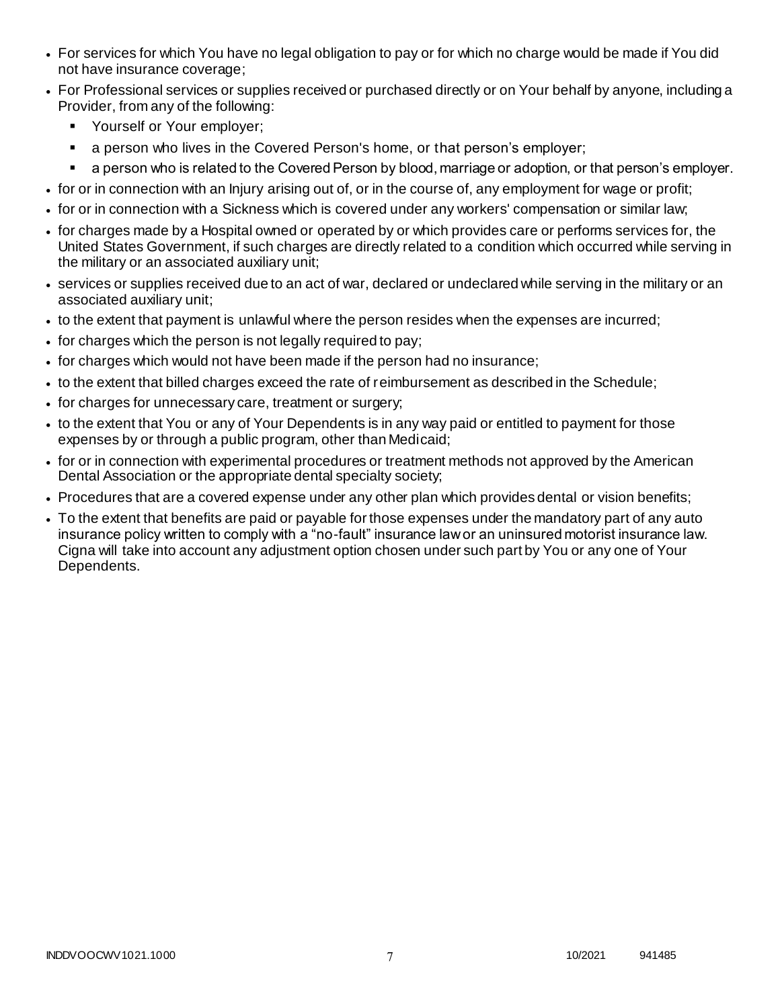- For services for which You have no legal obligation to pay or for which no charge would be made if You did not have insurance coverage;
- For Professional services or supplies received or purchased directly or on Your behalf by anyone, including a Provider, from any of the following:
	- **Yourself or Your employer;**
	- a person who lives in the Covered Person's home, or that person's employer;
	- a person who is related to the Covered Person by blood, marriage or adoption, or that person's employer.
- for or in connection with an Injury arising out of, or in the course of, any employment for wage or profit;
- for or in connection with a Sickness which is covered under any workers' compensation or similar law;
- for charges made by a Hospital owned or operated by or which provides care or performs services for, the United States Government, if such charges are directly related to a condition which occurred while serving in the military or an associated auxiliary unit;
- services or supplies received due to an act of war, declared or undeclared while serving in the military or an associated auxiliary unit;
- to the extent that payment is unlawful where the person resides when the expenses are incurred;
- for charges which the person is not legally required to pay;
- for charges which would not have been made if the person had no insurance;
- to the extent that billed charges exceed the rate of reimbursement as described in the Schedule;
- for charges for unnecessary care, treatment or surgery;
- to the extent that You or any of Your Dependents is in any way paid or entitled to payment for those expenses by or through a public program, other than Medicaid;
- for or in connection with experimental procedures or treatment methods not approved by the American Dental Association or the appropriate dental specialty society;
- Procedures that are a covered expense under any other plan which provides dental or vision benefits;
- To the extent that benefits are paid or payable for those expenses under the mandatory part of any auto insurance policy written to comply with a "no-fault" insurance law or an uninsured motorist insurance law. Cigna will take into account any adjustment option chosen under such part by You or any one of Your Dependents.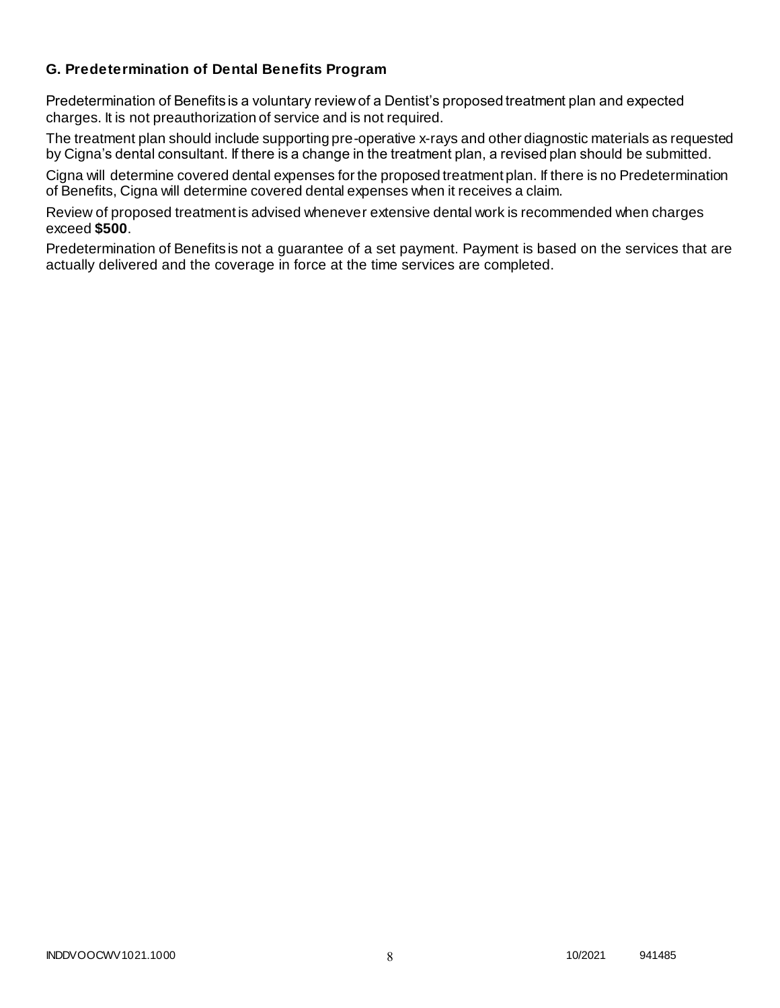# **G. Predetermination of Dental Benefits Program**

Predetermination of Benefits is a voluntary review of a Dentist's proposed treatment plan and expected charges. It is not preauthorization of service and is not required.

The treatment plan should include supporting pre-operative x-rays and other diagnostic materials as requested by Cigna's dental consultant. If there is a change in the treatment plan, a revised plan should be submitted.

Cigna will determine covered dental expenses for the proposed treatment plan. If there is no Predetermination of Benefits, Cigna will determine covered dental expenses when it receives a claim.

Review of proposed treatment is advised whenever extensive dental work is recommended when charges exceed **\$500**.

Predetermination of Benefits is not a guarantee of a set payment. Payment is based on the services that are actually delivered and the coverage in force at the time services are completed.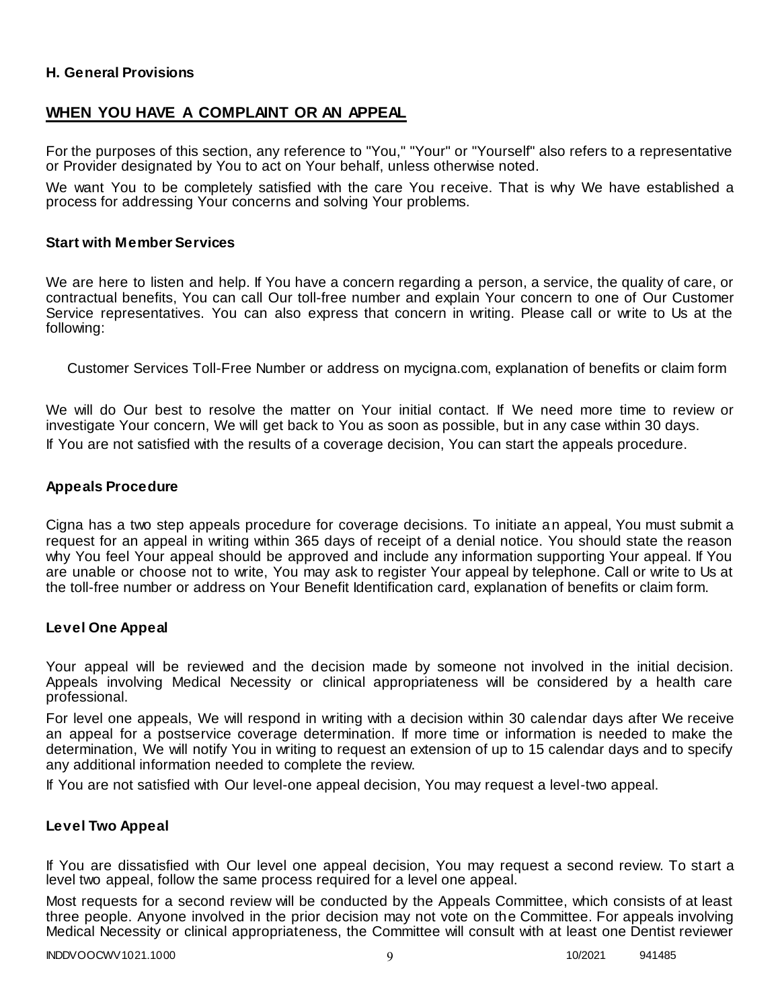### **H. General Provisions**

# **WHEN YOU HAVE A COMPLAINT OR AN APPEAL**

For the purposes of this section, any reference to "You," "Your" or "Yourself" also refers to a representative or Provider designated by You to act on Your behalf, unless otherwise noted.

We want You to be completely satisfied with the care You receive. That is why We have established a process for addressing Your concerns and solving Your problems.

#### **Start with Member Services**

We are here to listen and help. If You have a concern regarding a person, a service, the quality of care, or contractual benefits, You can call Our toll-free number and explain Your concern to one of Our Customer Service representatives. You can also express that concern in writing. Please call or write to Us at the following:

Customer Services Toll-Free Number or address on mycigna.com, explanation of benefits or claim form

We will do Our best to resolve the matter on Your initial contact. If We need more time to review or investigate Your concern, We will get back to You as soon as possible, but in any case within 30 days. If You are not satisfied with the results of a coverage decision, You can start the appeals procedure.

#### **Appeals Procedure**

Cigna has a two step appeals procedure for coverage decisions. To initiate an appeal, You must submit a request for an appeal in writing within 365 days of receipt of a denial notice. You should state the reason why You feel Your appeal should be approved and include any information supporting Your appeal. If You are unable or choose not to write, You may ask to register Your appeal by telephone. Call or write to Us at the toll-free number or address on Your Benefit Identification card, explanation of benefits or claim form.

#### **Level One Appeal**

Your appeal will be reviewed and the decision made by someone not involved in the initial decision. Appeals involving Medical Necessity or clinical appropriateness will be considered by a health care professional.

For level one appeals, We will respond in writing with a decision within 30 calendar days after We receive an appeal for a postservice coverage determination. If more time or information is needed to make the determination, We will notify You in writing to request an extension of up to 15 calendar days and to specify any additional information needed to complete the review.

If You are not satisfied with Our level-one appeal decision, You may request a level-two appeal.

### **Level Two Appeal**

If You are dissatisfied with Our level one appeal decision, You may request a second review. To start a level two appeal, follow the same process required for a level one appeal.

Most requests for a second review will be conducted by the Appeals Committee, which consists of at least three people. Anyone involved in the prior decision may not vote on the Committee. For appeals involving Medical Necessity or clinical appropriateness, the Committee will consult with at least one Dentist reviewer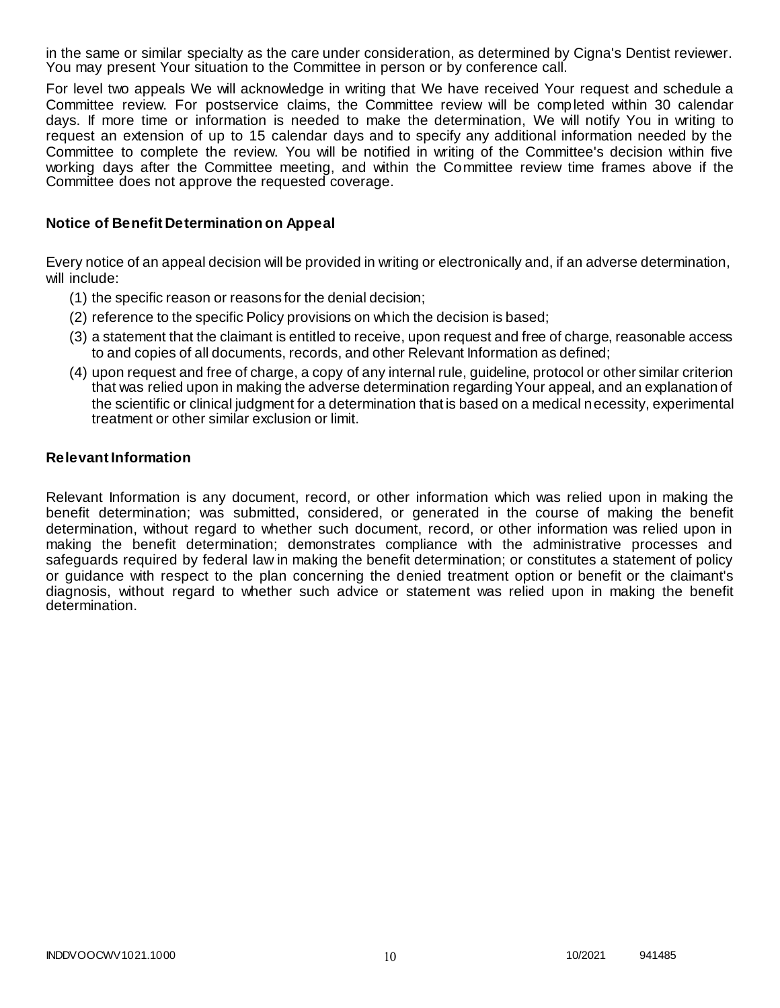in the same or similar specialty as the care under consideration, as determined by Cigna's Dentist reviewer. You may present Your situation to the Committee in person or by conference call.

For level two appeals We will acknowledge in writing that We have received Your request and schedule a Committee review. For postservice claims, the Committee review will be completed within 30 calendar days. If more time or information is needed to make the determination, We will notify You in writing to request an extension of up to 15 calendar days and to specify any additional information needed by the Committee to complete the review. You will be notified in writing of the Committee's decision within five working days after the Committee meeting, and within the Committee review time frames above if the Committee does not approve the requested coverage.

### **Notice of Benefit Determination on Appeal**

Every notice of an appeal decision will be provided in writing or electronically and, if an adverse determination, will include:

- (1) the specific reason or reasons for the denial decision;
- (2) reference to the specific Policy provisions on which the decision is based;
- (3) a statement that the claimant is entitled to receive, upon request and free of charge, reasonable access to and copies of all documents, records, and other Relevant Information as defined;
- (4) upon request and free of charge, a copy of any internal rule, guideline, protocol or other similar criterion that was relied upon in making the adverse determination regarding Your appeal, and an explanation of the scientific or clinical judgment for a determination that is based on a medical necessity, experimental treatment or other similar exclusion or limit.

### **Relevant Information**

Relevant Information is any document, record, or other information which was relied upon in making the benefit determination; was submitted, considered, or generated in the course of making the benefit determination, without regard to whether such document, record, or other information was relied upon in making the benefit determination; demonstrates compliance with the administrative processes and safeguards required by federal law in making the benefit determination; or constitutes a statement of policy or guidance with respect to the plan concerning the denied treatment option or benefit or the claimant's diagnosis, without regard to whether such advice or statement was relied upon in making the benefit determination.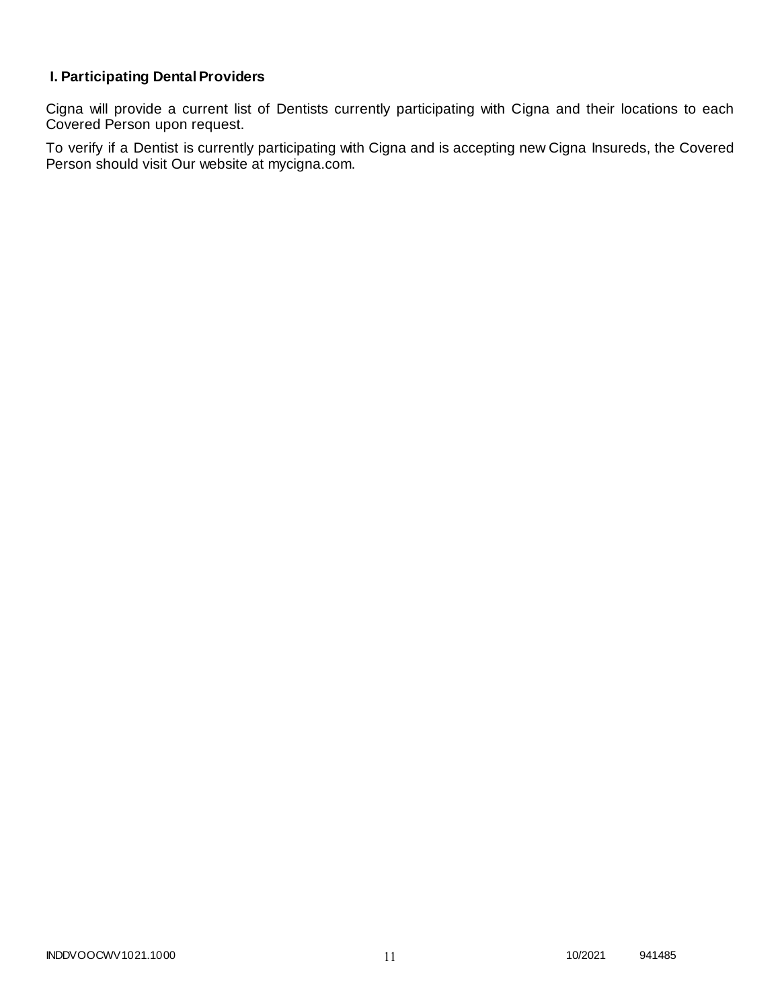# **I. Participating Dental Providers**

Cigna will provide a current list of Dentists currently participating with Cigna and their locations to each Covered Person upon request.

To verify if a Dentist is currently participating with Cigna and is accepting new Cigna Insureds, the Covered Person should visit Our website at mycigna.com.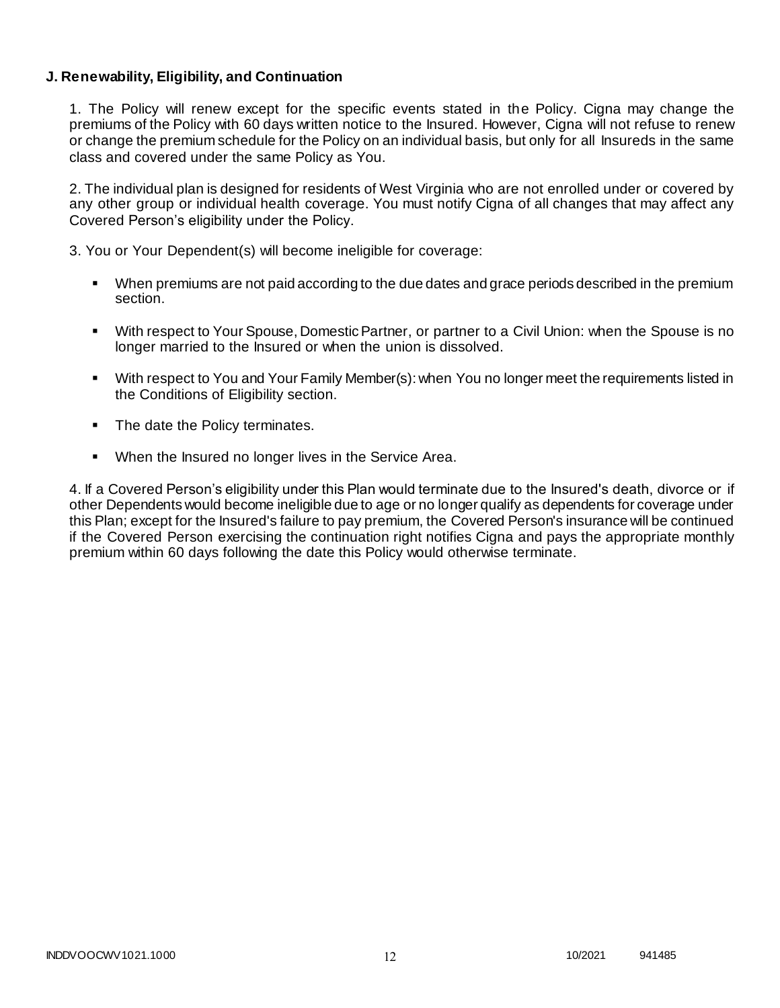### **J. Renewability, Eligibility, and Continuation**

1. The Policy will renew except for the specific events stated in the Policy. Cigna may change the premiums of the Policy with 60 days written notice to the Insured. However, Cigna will not refuse to renew or change the premium schedule for the Policy on an individual basis, but only for all Insureds in the same class and covered under the same Policy as You.

2. The individual plan is designed for residents of West Virginia who are not enrolled under or covered by any other group or individual health coverage. You must notify Cigna of all changes that may affect any Covered Person's eligibility under the Policy.

3. You or Your Dependent(s) will become ineligible for coverage:

- When premiums are not paid according to the due dates and grace periods described in the premium section.
- With respect to Your Spouse, Domestic Partner, or partner to a Civil Union: when the Spouse is no longer married to the Insured or when the union is dissolved.
- With respect to You and Your Family Member(s): when You no longer meet the requirements listed in the Conditions of Eligibility section.
- The date the Policy terminates.
- When the Insured no longer lives in the Service Area.

4. If a Covered Person's eligibility under this Plan would terminate due to the Insured's death, divorce or if other Dependents would become ineligible due to age or no longer qualify as dependents for coverage under this Plan; except for the Insured's failure to pay premium, the Covered Person's insurance will be continued if the Covered Person exercising the continuation right notifies Cigna and pays the appropriate monthly premium within 60 days following the date this Policy would otherwise terminate.